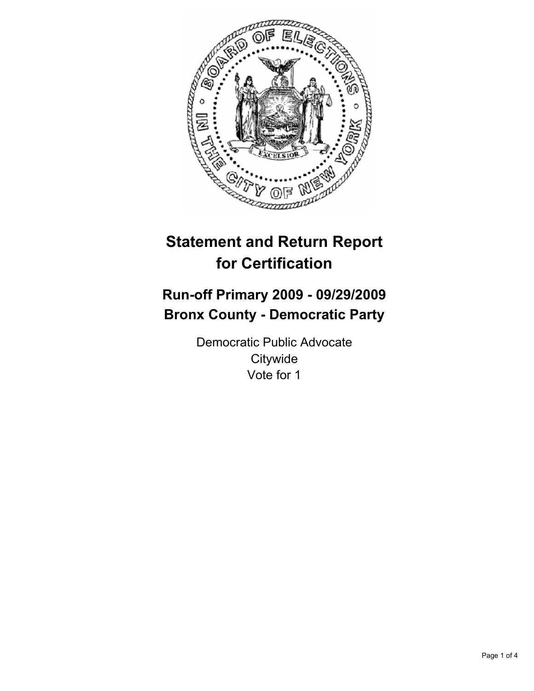

# **Statement and Return Report for Certification**

# **Run-off Primary 2009 - 09/29/2009 Bronx County - Democratic Party**

Democratic Public Advocate **Citywide** Vote for 1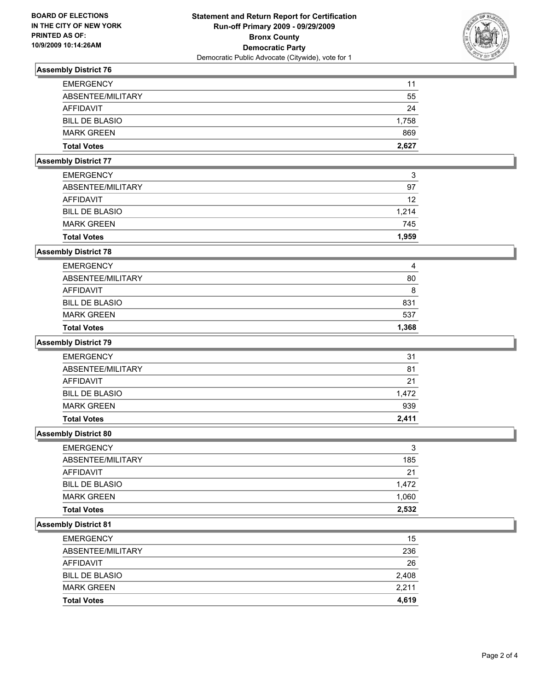

# **Assembly District 76**

| <b>EMERGENCY</b>      | 11    |
|-----------------------|-------|
| ABSENTEE/MILITARY     | 55    |
| AFFIDAVIT             | 24    |
| <b>BILL DE BLASIO</b> | 1.758 |
| <b>MARK GREEN</b>     | 869   |
| <b>Total Votes</b>    | 2,627 |

# **Assembly District 77**

| <b>Total Votes</b>    | 1.959 |
|-----------------------|-------|
| <b>MARK GREEN</b>     | 745   |
| <b>BILL DE BLASIO</b> | 1.214 |
| AFFIDAVIT             | 12    |
| ABSENTEE/MILITARY     | 97    |
| <b>EMERGENCY</b>      | 3     |

# **Assembly District 78**

| <b>Total Votes</b>    | 1.368 |
|-----------------------|-------|
| <b>MARK GREEN</b>     | 537   |
| <b>BILL DE BLASIO</b> | 831   |
| AFFIDAVIT             | 8     |
| ABSENTEE/MILITARY     | 80    |
| <b>EMERGENCY</b>      | 4     |

## **Assembly District 79**

| <b>BILL DE BLASIO</b><br><b>MARK GREEN</b> | 1.472<br>939 |
|--------------------------------------------|--------------|
| AFFIDAVIT                                  | 21           |
| ABSENTEE/MILITARY                          | 81           |
| <b>EMERGENCY</b>                           | 31           |

## **Assembly District 80**

| <b>EMERGENCY</b>      | 3     |
|-----------------------|-------|
| ABSENTEE/MILITARY     | 185   |
| AFFIDAVIT             | 21    |
| <b>BILL DE BLASIO</b> | 1.472 |
| <b>MARK GREEN</b>     | 1,060 |
| <b>Total Votes</b>    | 2,532 |

## **Assembly District 81**

| <b>Total Votes</b>    | 4.619 |
|-----------------------|-------|
| <b>MARK GREEN</b>     | 2.211 |
| <b>BILL DE BLASIO</b> | 2,408 |
| AFFIDAVIT             | 26    |
| ABSENTEE/MILITARY     | 236   |
| <b>EMERGENCY</b>      | 15    |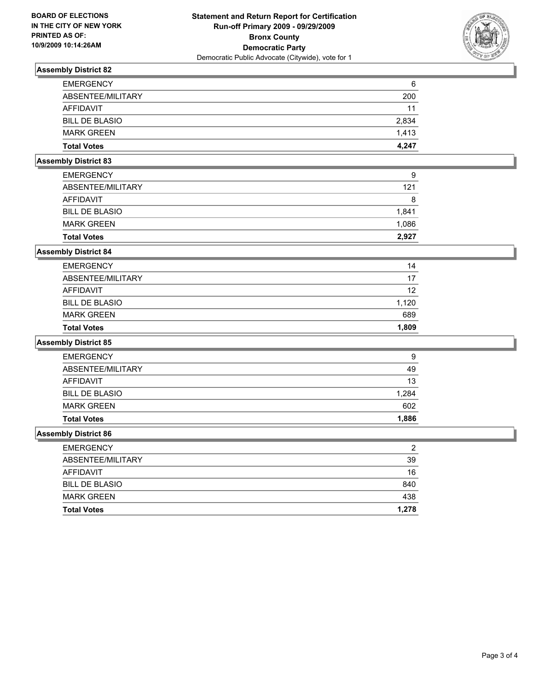

# **Assembly District 82**

| <b>EMERGENCY</b>      | 6     |
|-----------------------|-------|
| ABSENTEE/MILITARY     | 200   |
| AFFIDAVIT             | 11    |
| <b>BILL DE BLASIO</b> | 2.834 |
| <b>MARK GREEN</b>     | 1.413 |
| <b>Total Votes</b>    | 4.247 |

# **Assembly District 83**

| <b>Total Votes</b>    | 2.927 |
|-----------------------|-------|
| <b>MARK GREEN</b>     | 1,086 |
| <b>BILL DE BLASIO</b> | 1.841 |
| AFFIDAVIT             | 8     |
| ABSENTEE/MILITARY     | 121   |
| <b>EMERGENCY</b>      | 9     |

## **Assembly District 84**

| <b>Total Votes</b>    | 1.809 |
|-----------------------|-------|
| <b>MARK GREEN</b>     | 689   |
| <b>BILL DE BLASIO</b> | 1.120 |
| AFFIDAVIT             | 12    |
| ABSENTEE/MILITARY     | 17    |
| <b>EMERGENCY</b>      | 14    |

#### **Assembly District 85**

| <b>Total Votes</b>    | 1,886 |
|-----------------------|-------|
| <b>MARK GREEN</b>     | 602   |
| <b>BILL DE BLASIO</b> | 1,284 |
| AFFIDAVIT             | 13    |
| ABSENTEE/MILITARY     | 49    |
| <b>EMERGENCY</b>      | 9     |

## **Assembly District 86**

| <b>EMERGENCY</b>      | ◠     |
|-----------------------|-------|
| ABSENTEE/MILITARY     | 39    |
| AFFIDAVIT             | 16    |
| <b>BILL DE BLASIO</b> | 840   |
| <b>MARK GREEN</b>     | 438   |
| <b>Total Votes</b>    | 1,278 |